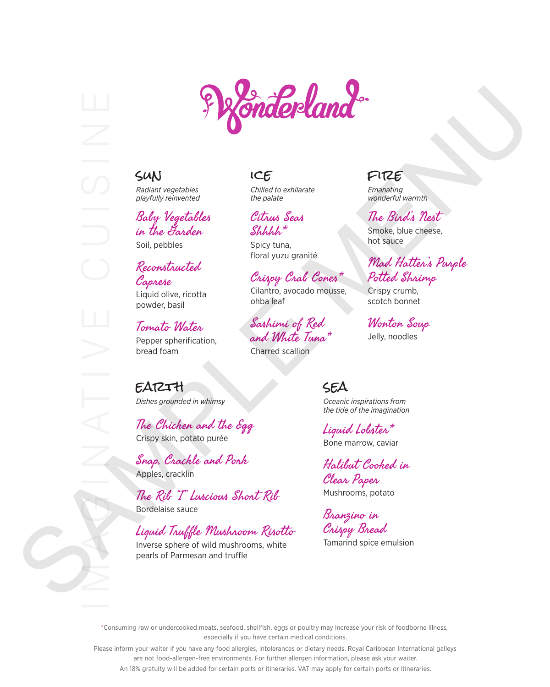



# sun

*Radiant vegetables playfully reinvented*

Baby Vegetables in the Garden

## Soil, pebbles

#### Reconstructed Caprese

Liquid olive, ricotta powder, basil

#### Tomato Water

Pepper spherification, bread foam

### ice

*Chilled to exhilarate the palate*

Citrus Seas Shhhh\*

Spicy tuna, floral yuzu granité

## Crispy Crab Cones\*

Cilantro, avocado mousse, ohba leaf

## Sashimi of Red and White Tuna\*

Charred scallion

earth *Dishes grounded in whimsy*

The Chicken and the Egg Crispy skin, potato purée

Snap, Crackle and Pork Apples, cracklin

The Rib "I" Luscious Short Rib Bordelaise sauce

# Liquid Truffle Mushroom Risotto

Inverse sphere of wild mushrooms, white pearls of Parmesan and truffle

## fire

*Emanating wonderful warmth*

#### The Bird's Nest

Smoke, blue cheese, hot sauce

## Mad Hatter's Purple Potted Shrimp

Crispy crumb, scotch bonnet

Wonton Soup Jelly, noodles

#### sea *Oceanic inspirations from the tide of the imagination*

Liquid Lobster\* Bone marrow, caviar

Halibut Cooked in Clear Paper Mushrooms, potato

Branzino in Crispy Bread Tamarind spice emulsion

\*Consuming raw or undercooked meats, seafood, shellfish, eggs or poultry may increase your risk of foodborne illness, especially if you have certain medical conditions.

Please inform your waiter if you have any food allergies, intolerances or dietary needs. Royal Caribbean International galleys are not food-allergen-free environments. For further allergen information, please ask your waiter.

An 18% gratuity will be added for certain ports or itineraries. VAT may apply for certain ports or itineraries.